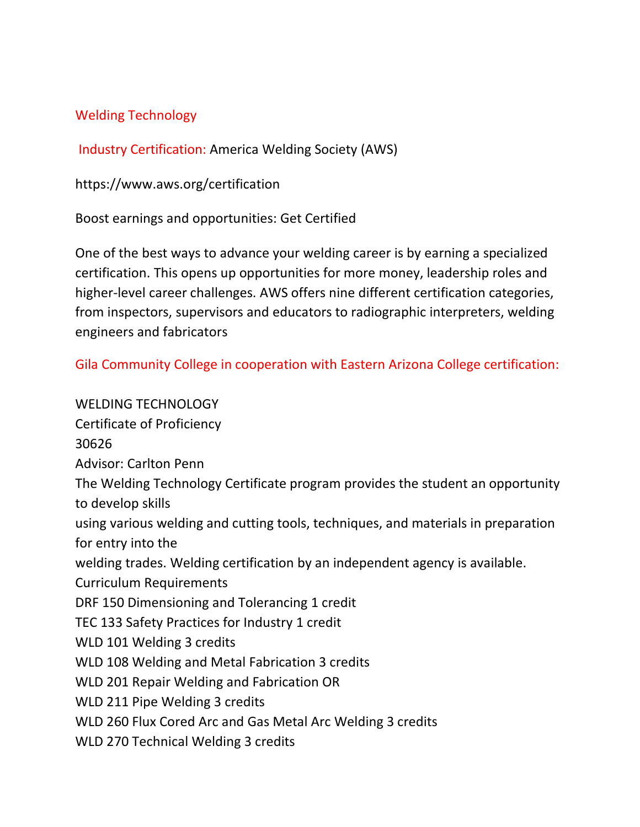## Welding Technology

Industry Certification: America Welding Society (AWS)

<https://www.aws.org/certification>

Boost earnings and opportunities: Get Certified

One of the best ways to advance your welding career is by earning a specialized certification. This opens up opportunities for more money, leadership roles and higher-level career challenges. AWS offers nine different certification categories, from inspectors, supervisors and educators to radiographic interpreters, welding engineers and fabricators

Gila Community College in cooperation with Eastern Arizona College certification:

WELDING TECHNOLOGY Certificate of Proficiency 30626 Advisor: Carlton Penn The Welding Technology Certificate program provides the student an opportunity to develop skills using various welding and cutting tools, techniques, and materials in preparation for entry into the welding trades. Welding certification by an independent agency is available. Curriculum Requirements DRF 150 Dimensioning and Tolerancing 1 credit TEC 133 Safety Practices for Industry 1 credit WLD 101 Welding 3 credits WLD 108 Welding and Metal Fabrication 3 credits WLD 201 Repair Welding and Fabrication OR WLD 211 Pipe Welding 3 credits WLD 260 Flux Cored Arc and Gas Metal Arc Welding 3 credits WLD 270 Technical Welding 3 credits